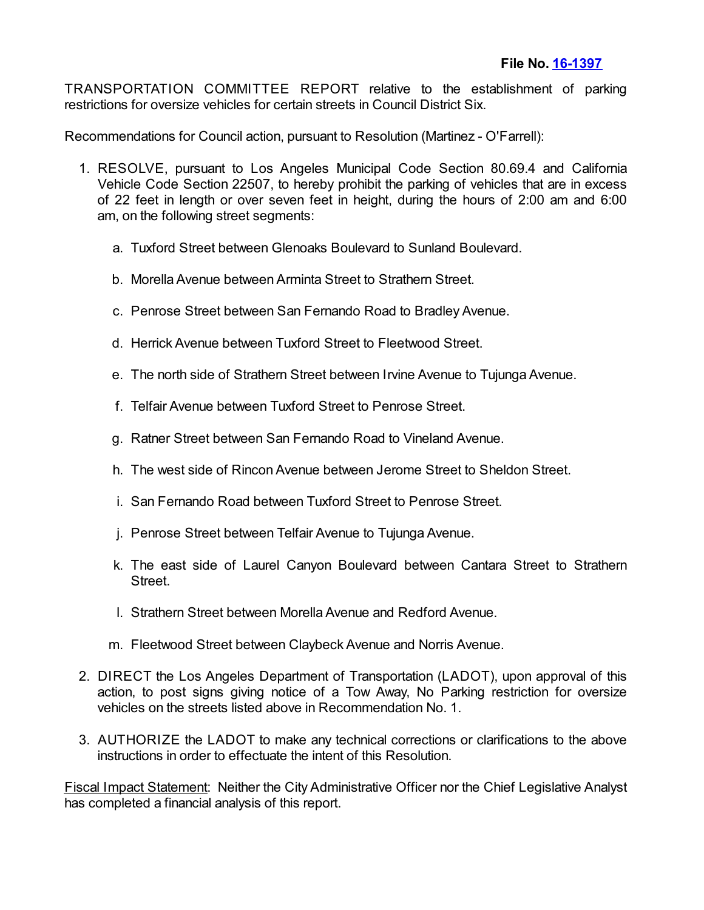TRANSPORTATION COMMITTEE REPORT relative to the establishment of parking restrictions for oversize vehicles for certain streets in Council District Six.

Recommendations for Council action, pursuant to Resolution (Martinez - O'Farrell):

- 1. RESOLVE, pursuant to Los Angeles Municipal Code Section 80.69.4 and California Vehicle Code Section 22507, to hereby prohibit the parking of vehicles that are in excess of 22 feet in length or over seven feet in height, during the hours of 2:00 am and 6:00 am, on the following street segments:
	- a. Tuxford Street between Glenoaks Boulevard to Sunland Boulevard.
	- b. Morella Avenue between Arminta Street to Strathern Street.
	- c. Penrose Street between San Fernando Road to Bradley Avenue.
	- d. Herrick Avenue between Tuxford Street to Fleetwood Street.
	- e. The north side of Strathern Street between Irvine Avenue to Tujunga Avenue.
	- f. Telfair Avenue between Tuxford Street to Penrose Street.
	- g. Ratner Street between San Fernando Road to Vineland Avenue.
	- h. The west side of Rincon Avenue between Jerome Street to Sheldon Street.
	- i. San Fernando Road between Tuxford Street to Penrose Street.
	- j. Penrose Street between Telfair Avenue to Tujunga Avenue.
	- k. The east side of Laurel Canyon Boulevard between Cantara Street to Strathern Street.
	- l. Strathern Street between Morella Avenue and Redford Avenue.
	- m. Fleetwood Street between Claybeck Avenue and Norris Avenue.
- 2. DIRECT the Los Angeles Department of Transportation (LADOT), upon approval of this action, to post signs giving notice of a Tow Away, No Parking restriction for oversize vehicles on the streets listed above in Recommendation No. 1.
- 3. AUTHORIZE the LADOT to make any technical corrections or clarifications to the above instructions in order to effectuate the intent of this Resolution.

Fiscal Impact Statement: Neither the City Administrative Officer nor the Chief Legislative Analyst has completed a financial analysis of this report.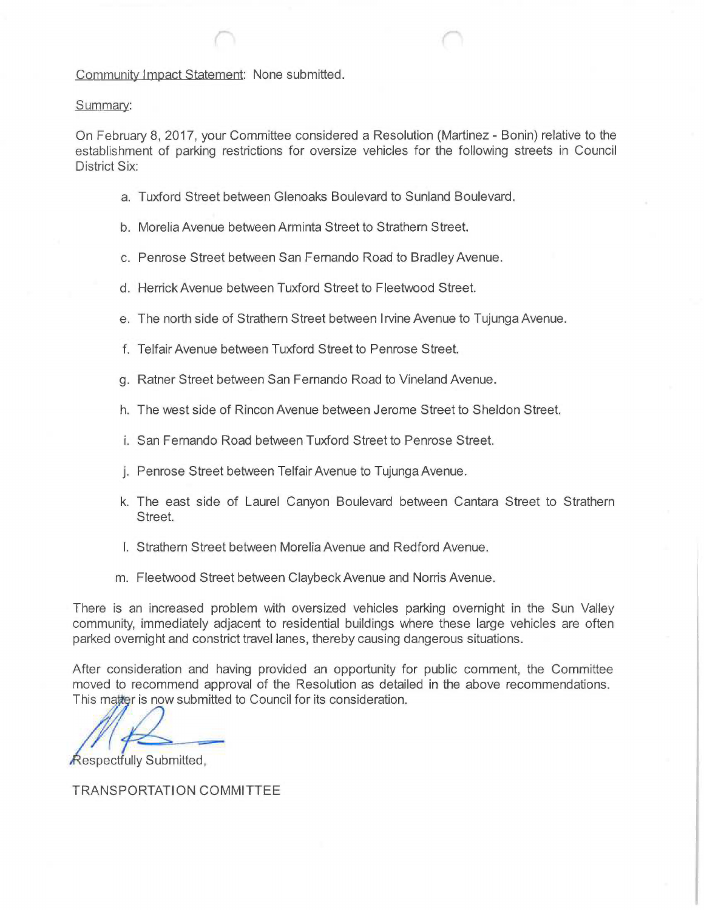## Community Impact Statement: None submitted.

## Summary:

On February 8, 2017, your Committee considered a Resolution (Martinez - Bonin) relative to the establishment of parking restrictions for oversize vehicles for the following streets in Council District Six:

- a. Tuxford Street between Gienoaks Boulevard to Sunland Boulevard.
- b. Morelia Avenue between Arminta Street to Strathern Street.
- c. Penrose Street between San Fernando Road to Bradley Avenue,
- d. Herrick Avenue between Tuxford Street to Fleetwood Street.
- e. The north side of Strathern Street between Irvine Avenue to Tujunga Avenue.
- f. Telfair Avenue between Tuxford Street to Penrose Street.
- g. Ratner Street between San Fernando Road to Vineland Avenue.
- h. The west side of Rincon Avenue between Jerome Street to Sheldon Street.
- i. San Fernando Road between Tuxford Street to Penrose Street.
- j. Penrose Street between Telfair Avenue to Tujunga Avenue.
- k. The east side of Laurel Canyon Boulevard between Cantara Street to Strathern Street.
- <sup>l</sup>. Strathern Street between Morelia Avenue and Redford Avenue.
- m. Fleetwood Street between Claybeck Avenue and Norris Avenue.

There is an increased problem with oversized vehicles parking overnight in the Sun Valley community, immediately adjacent to residential buildings where these large venicles are often parked overnight and constrict travel lanes, thereby causing dangerous situations.

After consideration and having provided an opportunity for public comment, the Committee moved to recommend approval of the Resolution as detailed in the above recommendations. This matter is now submitted to Council for its consideration.

**Respectfully Submitted,** 

TRANSPORTATION COMMITTEE